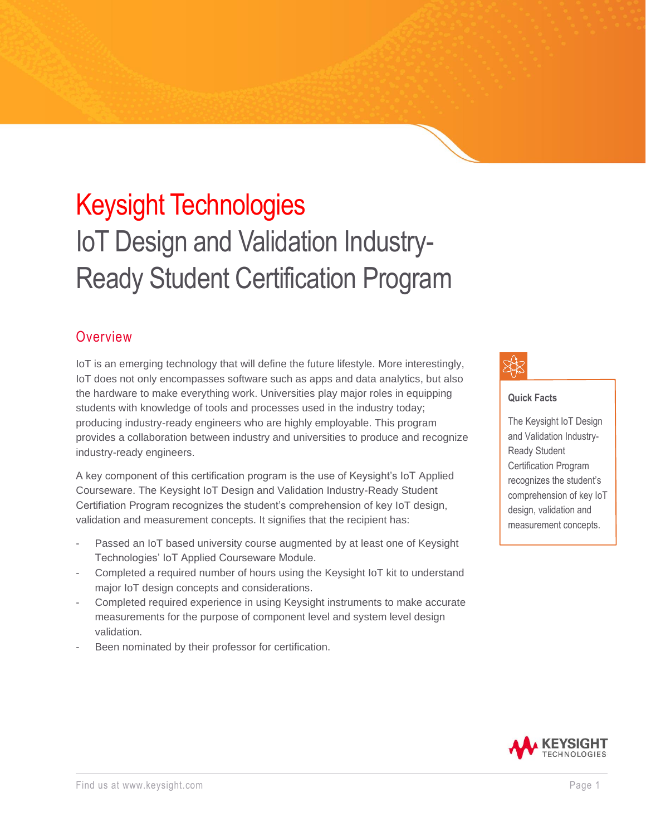# Keysight Technologies IoT Design and Validation Industry-Ready Student Certification Program

#### **Overview**

IoT is an emerging technology that will define the future lifestyle. More interestingly, IoT does not only encompasses software such as apps and data analytics, but also the hardware to make everything work. Universities play major roles in equipping students with knowledge of tools and processes used in the industry today; producing industry-ready engineers who are highly employable. This program provides a collaboration between industry and universities to produce and recognize industry-ready engineers.

A key component of this certification program is the use of Keysight's IoT Applied Courseware. The Keysight IoT Design and Validation Industry-Ready Student Certifiation Program recognizes the student's comprehension of key IoT design, validation and measurement concepts. It signifies that the recipient has:

- Passed an IoT based university course augmented by at least one of Keysight Technologies' IoT Applied Courseware Module.
- Completed a required number of hours using the Keysight IoT kit to understand major IoT design concepts and considerations.
- Completed required experience in using Keysight instruments to make accurate measurements for the purpose of component level and system level design validation.
- Been nominated by their professor for certification.

#### **Quick Facts**

The Keysight IoT Design and Validation Industry-Ready Student Certification Program recognizes the student's comprehension of key IoT design, validation and measurement concepts.

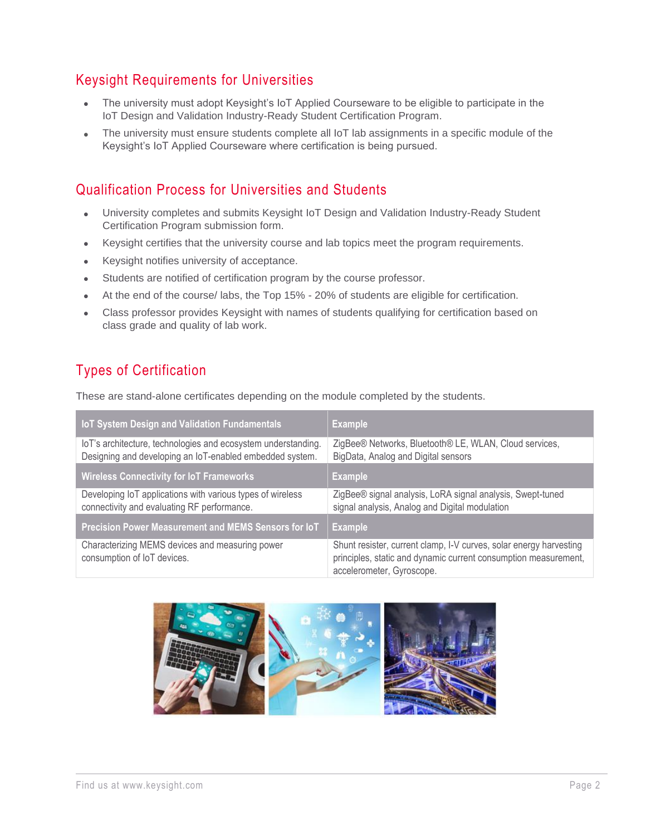### Keysight Requirements for Universities

- The university must adopt Keysight's IoT Applied Courseware to be eligible to participate in the IoT Design and Validation Industry-Ready Student Certification Program.
- The university must ensure students complete all IoT lab assignments in a specific module of the Keysight's IoT Applied Courseware where certification is being pursued.

#### Qualification Process for Universities and Students

- University completes and submits Keysight IoT Design and Validation Industry-Ready Student Certification Program submission form.
- Keysight certifies that the university course and lab topics meet the program requirements.
- Keysight notifies university of acceptance.
- Students are notified of certification program by the course professor.
- At the end of the course/ labs, the Top 15% 20% of students are eligible for certification.
- Class professor provides Keysight with names of students qualifying for certification based on class grade and quality of lab work.

#### Types of Certification

These are stand-alone certificates depending on the module completed by the students.

| <b>IoT System Design and Validation Fundamentals</b>                                                                      | <b>Example</b>                                                                                                                                                     |
|---------------------------------------------------------------------------------------------------------------------------|--------------------------------------------------------------------------------------------------------------------------------------------------------------------|
| loT's architecture, technologies and ecosystem understanding.<br>Designing and developing an IoT-enabled embedded system. | ZigBee® Networks, Bluetooth® LE, WLAN, Cloud services,<br>BigData, Analog and Digital sensors                                                                      |
| <b>Wireless Connectivity for IoT Frameworks</b>                                                                           | <b>Example</b>                                                                                                                                                     |
| Developing IoT applications with various types of wireless<br>connectivity and evaluating RF performance.                 | ZigBee® signal analysis, LoRA signal analysis, Swept-tuned<br>signal analysis, Analog and Digital modulation                                                       |
| <b>Precision Power Measurement and MEMS Sensors for loT</b>                                                               | <b>Example</b>                                                                                                                                                     |
| Characterizing MEMS devices and measuring power<br>consumption of IoT devices.                                            | Shunt resister, current clamp, I-V curves, solar energy harvesting<br>principles, static and dynamic current consumption measurement,<br>accelerometer, Gyroscope. |

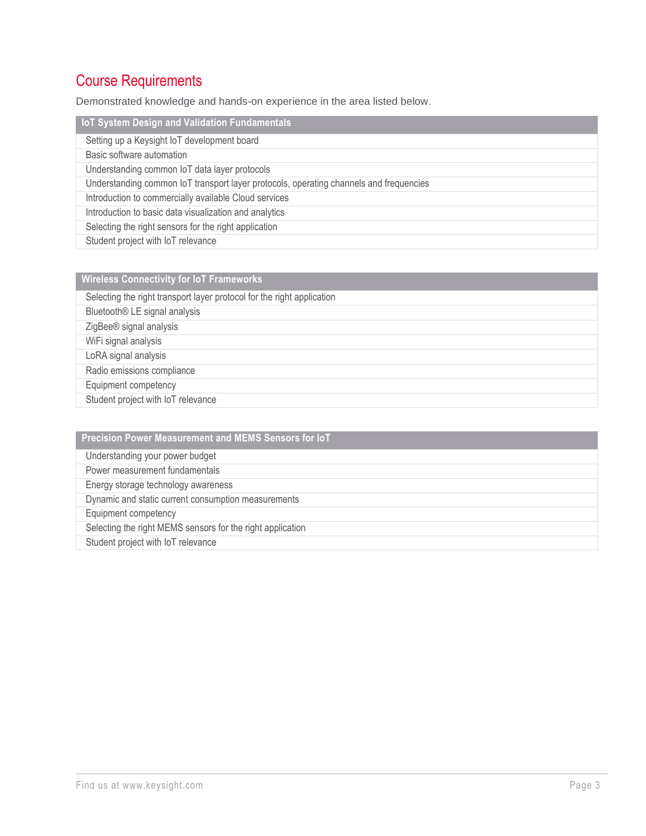# Course Requirements

Demonstrated knowledge and hands-on experience in the area listed below.

| <b>IoT System Design and Validation Fundamentals</b>                                   |
|----------------------------------------------------------------------------------------|
| Setting up a Keysight IoT development board                                            |
| Basic software automation                                                              |
| Understanding common IoT data layer protocols                                          |
| Understanding common IoT transport layer protocols, operating channels and frequencies |
| Introduction to commercially available Cloud services                                  |
| Introduction to basic data visualization and analytics                                 |
| Selecting the right sensors for the right application                                  |
| Student project with IoT relevance                                                     |

| <b>Wireless Connectivity for IoT Frameworks</b>                        |
|------------------------------------------------------------------------|
| Selecting the right transport layer protocol for the right application |
| Bluetooth® LE signal analysis                                          |
| ZigBee® signal analysis                                                |
| WiFi signal analysis                                                   |
| LoRA signal analysis                                                   |
| Radio emissions compliance                                             |
| Equipment competency                                                   |
| Student project with IoT relevance                                     |

| Precision Power Measurement and MEMS Sensors for IoT       |
|------------------------------------------------------------|
| Understanding your power budget                            |
| Power measurement fundamentals                             |
| Energy storage technology awareness                        |
| Dynamic and static current consumption measurements        |
| Equipment competency                                       |
| Selecting the right MEMS sensors for the right application |
| Student project with IoT relevance                         |